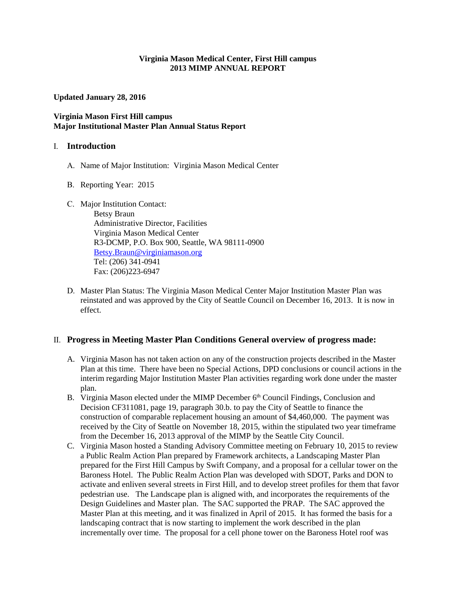#### **Virginia Mason Medical Center, First Hill campus 2013 MIMP ANNUAL REPORT**

**Updated January 28, 2016**

### **Virginia Mason First Hill campus Major Institutional Master Plan Annual Status Report**

#### I. **Introduction**

- A. Name of Major Institution: Virginia Mason Medical Center
- B. Reporting Year: 2015
- C. Major Institution Contact:

Betsy Braun Administrative Director, Facilities Virginia Mason Medical Center R3-DCMP, P.O. Box 900, Seattle, WA 98111-0900 [Betsy.Braun@virginiamason.org](mailto:Betsy.Braun@virginiamason.org)  Tel: (206) 341-0941 Fax: (206)223-6947

D. Master Plan Status: The Virginia Mason Medical Center Major Institution Master Plan was reinstated and was approved by the City of Seattle Council on December 16, 2013. It is now in effect.

## II. **Progress in Meeting Master Plan Conditions General overview of progress made:**

- A. Virginia Mason has not taken action on any of the construction projects described in the Master Plan at this time. There have been no Special Actions, DPD conclusions or council actions in the interim regarding Major Institution Master Plan activities regarding work done under the master plan.
- B. Virginia Mason elected under the MIMP December 6<sup>th</sup> Council Findings, Conclusion and Decision CF311081, page 19, paragraph 30.b. to pay the City of Seattle to finance the construction of comparable replacement housing an amount of \$4,460,000. The payment was received by the City of Seattle on November 18, 2015, within the stipulated two year timeframe from the December 16, 2013 approval of the MIMP by the Seattle City Council.
- C. Virginia Mason hosted a Standing Advisory Committee meeting on February 10, 2015 to review a Public Realm Action Plan prepared by Framework architects, a Landscaping Master Plan prepared for the First Hill Campus by Swift Company, and a proposal for a cellular tower on the Baroness Hotel. The Public Realm Action Plan was developed with SDOT, Parks and DON to activate and enliven several streets in First Hill, and to develop street profiles for them that favor pedestrian use. The Landscape plan is aligned with, and incorporates the requirements of the Design Guidelines and Master plan. The SAC supported the PRAP. The SAC approved the Master Plan at this meeting, and it was finalized in April of 2015. It has formed the basis for a landscaping contract that is now starting to implement the work described in the plan incrementally over time. The proposal for a cell phone tower on the Baroness Hotel roof was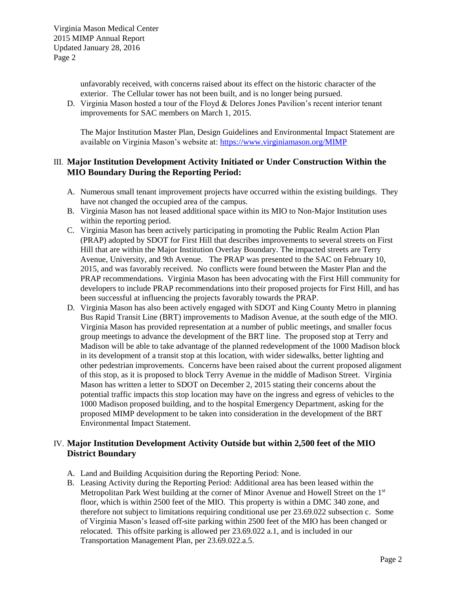unfavorably received, with concerns raised about its effect on the historic character of the exterior. The Cellular tower has not been built, and is no longer being pursued.

D. Virginia Mason hosted a tour of the Floyd & Delores Jones Pavilion's recent interior tenant improvements for SAC members on March 1, 2015.

The Major Institution Master Plan, Design Guidelines and Environmental Impact Statement are available on Virginia Mason's website at:<https://www.virginiamason.org/MIMP>

# III. **Major Institution Development Activity Initiated or Under Construction Within the MIO Boundary During the Reporting Period:**

- A. Numerous small tenant improvement projects have occurred within the existing buildings. They have not changed the occupied area of the campus.
- B. Virginia Mason has not leased additional space within its MIO to Non-Major Institution uses within the reporting period.
- C. Virginia Mason has been actively participating in promoting the Public Realm Action Plan (PRAP) adopted by SDOT for First Hill that describes improvements to several streets on First Hill that are within the Major Institution Overlay Boundary. The impacted streets are Terry Avenue, University, and 9th Avenue. The PRAP was presented to the SAC on February 10, 2015, and was favorably received. No conflicts were found between the Master Plan and the PRAP recommendations. Virginia Mason has been advocating with the First Hill community for developers to include PRAP recommendations into their proposed projects for First Hill, and has been successful at influencing the projects favorably towards the PRAP.
- D. Virginia Mason has also been actively engaged with SDOT and King County Metro in planning Bus Rapid Transit Line (BRT) improvements to Madison Avenue, at the south edge of the MIO. Virginia Mason has provided representation at a number of public meetings, and smaller focus group meetings to advance the development of the BRT line. The proposed stop at Terry and Madison will be able to take advantage of the planned redevelopment of the 1000 Madison block in its development of a transit stop at this location, with wider sidewalks, better lighting and other pedestrian improvements. Concerns have been raised about the current proposed alignment of this stop, as it is proposed to block Terry Avenue in the middle of Madison Street. Virginia Mason has written a letter to SDOT on December 2, 2015 stating their concerns about the potential traffic impacts this stop location may have on the ingress and egress of vehicles to the 1000 Madison proposed building, and to the hospital Emergency Department, asking for the proposed MIMP development to be taken into consideration in the development of the BRT Environmental Impact Statement.

## IV. **Major Institution Development Activity Outside but within 2,500 feet of the MIO District Boundary**

- A. Land and Building Acquisition during the Reporting Period: None.
- B. Leasing Activity during the Reporting Period: Additional area has been leased within the Metropolitan Park West building at the corner of Minor Avenue and Howell Street on the 1<sup>st</sup> floor, which is within 2500 feet of the MIO. This property is within a DMC 340 zone, and therefore not subject to limitations requiring conditional use per 23.69.022 subsection c. Some of Virginia Mason's leased off-site parking within 2500 feet of the MIO has been changed or relocated. This offsite parking is allowed per 23.69.022 a.1, and is included in our Transportation Management Plan, per 23.69.022.a.5.